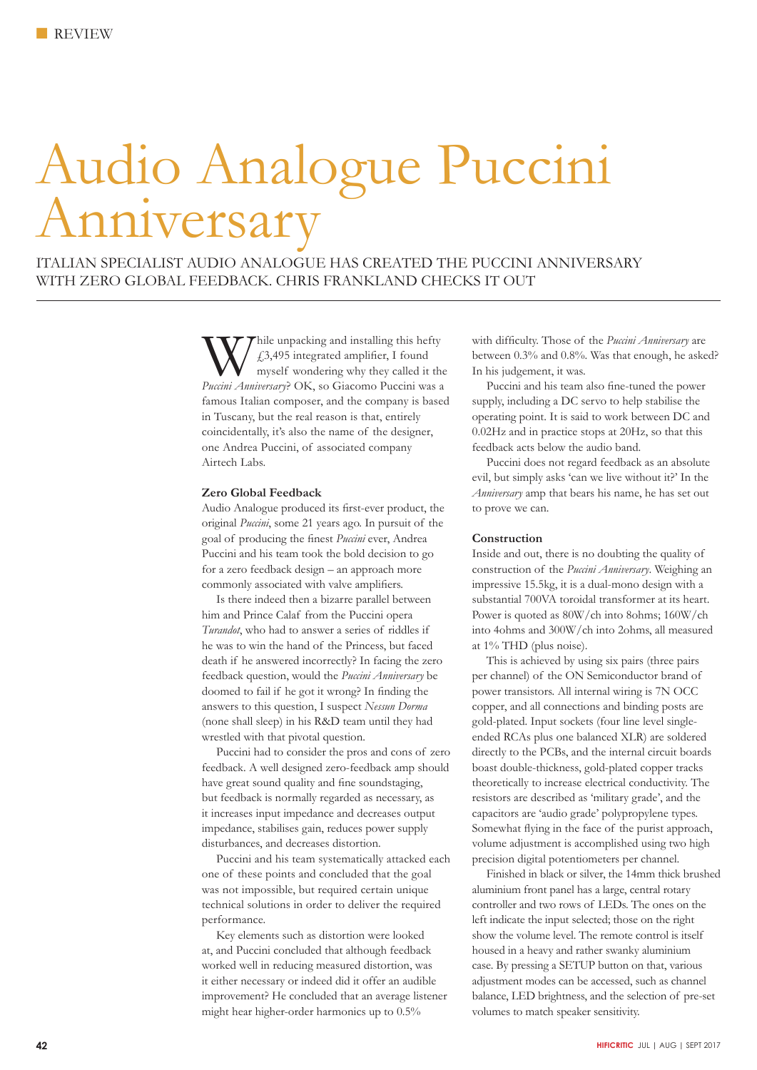# Audio Analogue Puccini Anniversary

ITALIAN SPECIALIST AUDIO ANALOGUE HAS CREATED THE PUCCINI ANNIVERSARY WITH ZERO GLOBAL FEEDBACK. CHRIS FRANKLAND CHECKS IT OUT

> Thile unpacking and installing this hefty £3,495 integrated amplifier, I found myself wondering why they called it the *Puccini Anniversary*? OK, so Giacomo Puccini was a famous Italian composer, and the company is based in Tuscany, but the real reason is that, entirely coincidentally, it's also the name of the designer, one Andrea Puccini, of associated company Airtech Labs.

# **Zero Global Feedback**

Audio Analogue produced its first-ever product, the original *Puccini*, some 21 years ago. In pursuit of the goal of producing the finest *Puccini* ever, Andrea Puccini and his team took the bold decision to go for a zero feedback design – an approach more commonly associated with valve amplifiers.

Is there indeed then a bizarre parallel between him and Prince Calaf from the Puccini opera *Turandot*, who had to answer a series of riddles if he was to win the hand of the Princess, but faced death if he answered incorrectly? In facing the zero feedback question, would the *Puccini Anniversary* be doomed to fail if he got it wrong? In finding the answers to this question, I suspect *Nessun Dorma* (none shall sleep) in his R&D team until they had wrestled with that pivotal question.

Puccini had to consider the pros and cons of zero feedback. A well designed zero-feedback amp should have great sound quality and fine soundstaging, but feedback is normally regarded as necessary, as it increases input impedance and decreases output impedance, stabilises gain, reduces power supply disturbances, and decreases distortion.

Puccini and his team systematically attacked each one of these points and concluded that the goal was not impossible, but required certain unique technical solutions in order to deliver the required performance.

Key elements such as distortion were looked at, and Puccini concluded that although feedback worked well in reducing measured distortion, was it either necessary or indeed did it offer an audible improvement? He concluded that an average listener might hear higher-order harmonics up to 0.5%

with difficulty. Those of the *Puccini Anniversary* are between 0.3% and 0.8%. Was that enough, he asked? In his judgement, it was.

Puccini and his team also fine-tuned the power supply, including a DC servo to help stabilise the operating point. It is said to work between DC and 0.02Hz and in practice stops at 20Hz, so that this feedback acts below the audio band.

Puccini does not regard feedback as an absolute evil, but simply asks 'can we live without it?' In the *Anniversary* amp that bears his name, he has set out to prove we can.

## **Construction**

Inside and out, there is no doubting the quality of construction of the *Puccini Anniversary*. Weighing an impressive 15.5kg, it is a dual-mono design with a substantial 700VA toroidal transformer at its heart. Power is quoted as 80W/ch into 8ohms; 160W/ch into 4ohms and 300W/ch into 2ohms, all measured at 1% THD (plus noise).

This is achieved by using six pairs (three pairs per channel) of the ON Semiconductor brand of power transistors. All internal wiring is 7N OCC copper, and all connections and binding posts are gold-plated. Input sockets (four line level singleended RCAs plus one balanced XLR) are soldered directly to the PCBs, and the internal circuit boards boast double-thickness, gold-plated copper tracks theoretically to increase electrical conductivity. The resistors are described as 'military grade', and the capacitors are 'audio grade' polypropylene types. Somewhat flying in the face of the purist approach, volume adjustment is accomplished using two high precision digital potentiometers per channel.

Finished in black or silver, the 14mm thick brushed aluminium front panel has a large, central rotary controller and two rows of LEDs. The ones on the left indicate the input selected; those on the right show the volume level. The remote control is itself housed in a heavy and rather swanky aluminium case. By pressing a SETUP button on that, various adjustment modes can be accessed, such as channel balance, LED brightness, and the selection of pre-set volumes to match speaker sensitivity.